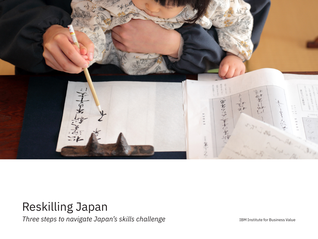

# Reskilling Japan

*Three steps to navigate Japan's skills challenge*

IBM Institute for Business Value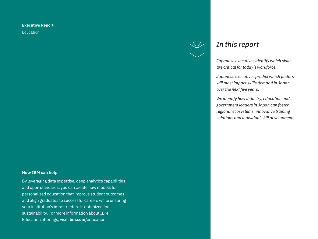### **Executive Report**

Education

### **How IBM can help**

By leveraging data expertise, deep analytics capabilities and open standards, you can create new models for personalized education that improve student outcomes and align graduates to successful careers while ensuring your institution's infrastructure is optimized for sustainability. For more information about IBM Education offerings, visit **ibm.com**[/education.](http://ibm.com/education)



# *In this report*

*Japanese executives identify which skills are critical for today's workforce.*

*Japanese executives predict which factors will most impact skills demand in Japan over the next five years.*

*We identify how industry, education and government leaders in Japan can foster regional ecosystems, innovative training solutions and individual skill development.*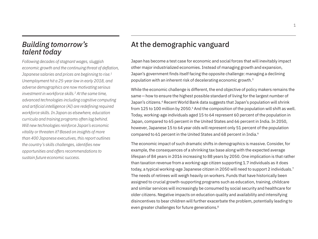# *Building tomorrow's talent today*

*Following decades of stagnant wages, sluggish economic growth and the continuing threat of deflation, Japanese salaries and prices are beginning to rise.1 Unemployment hit a 25-year low in early 2018, and adverse demographics are now motivating serious investment in workforce skills.2 At the same time, advanced technologies including cognitive computing and artificial intelligence (AI) are redefining required workforce skills. In Japan as elsewhere, education curricula and training programs often lag behind. Will new technologies reinforce Japan's economic vitality or threaten it? Based on insights of more than 400 Japanese executives, this report outlines the country's skills challenges, identifies new opportunities and offers recommendations to sustain future economic success.*

# At the demographic vanguard

Japan has become a test case for economic and social forces that will inevitably impact other major industrialized economies. Instead of managing growth and expansion, Japan's government finds itself facing the opposite challenge: managing a declining population with an inherent risk of decelerating economic growth.3

While the economic challenge is different, the end objective of policy makers remains the same—how to ensure the highest possible standard of living for the largest number of Japan's citizens.4 Recent World Bank data suggests that Japan's population will shrink from 125 to 100 million by 2050.<sup>5</sup> And the composition of the population will shift as well. Today, working-age individuals aged 15 to 64 represent 60 percent of the population in Japan, compared to 65 percent in the United States and 66 percent in India. In 2050, however, Japanese 15 to 64 year olds will represent only 51 percent of the population compared to 61 percent in the United States and 68 percent in India.<sup>6</sup>

The economic impact of such dramatic shifts in demographics is massive. Consider, for example, the consequences of a shrinking tax base along with the expected average lifespan of 84 years in 2016 increasing to 88 years by 2050. One implication is that rather than taxation revenue from a working-age citizen supporting 1.7 individuals as it does today, a typical working-age Japanese citizen in 2050 will need to support 2 individuals.7 The needs of retirees will weigh heavily on workers. Funds that have historically been assigned to crucial growth-supporting programs such as education, training, childcare and similar services will increasingly be consumed by social security and healthcare for older citizens. Negative impacts on education quality and availability and intensifying disincentives to bear children will further exacerbate the problem, potentially leading to even greater challenges for future generations.<sup>8</sup>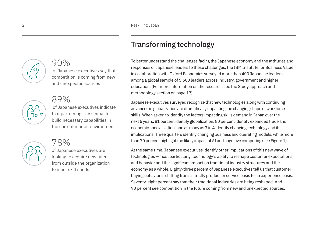# Transforming technology

To better understand the challenges facing the Japanese economy and the attitudes and responses of Japanese leaders to these challenges, the IBM Institute for Business Value in collaboration with Oxford Economics surveyed more than 400 Japanese leaders among a global sample of 5,600 leaders across industry, government and higher education. (For more information on the research, see the Study approach and methodology section on page 17).

Japanese executives surveyed recognize that new technologies along with continuing advances in globalization are dramatically impacting the changing shape of workforce skills. When asked to identify the factors impacting skills demand in Japan over the next 5 years, 81 percent identify globalization, 80 percent identify expanded trade and economic specialization, and as many as 3 in 4 identify changing technology and its implications. Three quarters identify changing business and operating models, while more than 70 percent highlight the likely impact of AI and cognitive computing (see Figure 1).

At the same time, Japanese executives identify other implications of this new wave of technologies—most particularly, technology's ability to reshape customer expectations and behavior and the significant impact on traditional industry structures and the economy as a whole. Eighty-three percent of Japanese executives tell us that customer buying behavior is shifting from a strictly product or service basis to an experience basis. Seventy-eight percent say that their traditional industries are being reshaped. And 90 percent see competition in the future coming from new and unexpected sources.

# 90%

 of Japanese executives say that competition is coming from new and unexpected sources

89% of Japanese executives indicate that partnering is essential to build necessary capabilities in the current market environment

78% of Japanese executives are looking to acquire new talent from outside the organization to meet skill needs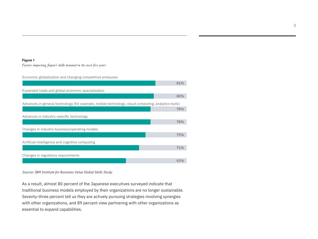#### **Figure 1**

**Factors impacting Japan's skills demand in the next five years** 

| Economic globalization and changing competitive pressures                                         |     |
|---------------------------------------------------------------------------------------------------|-----|
|                                                                                                   | 81% |
| Expanded trade and global economic specialization                                                 |     |
|                                                                                                   | 80% |
| Advances in general technology (for example, mobile technology, cloud computing, analytics tools) |     |
|                                                                                                   | 78% |
| Advances in industry-specific technology                                                          |     |
|                                                                                                   | 78% |
| Changes in industry business/operating models                                                     |     |
|                                                                                                   | 75% |
| Artificial intelligence and cognitive computing                                                   |     |
|                                                                                                   | 71% |
| Changes in regulatory requirements                                                                |     |
|                                                                                                   | 63% |

*Source: IBM Institute for Business Value Global Skills Study.*

As a result, almost 80 percent of the Japanese executives surveyed indicate that traditional business models employed by their organizations are no longer sustainable. Seventy-three percent tell us they are actively pursuing strategies involving synergies with other organizations, and 89 percent view partnering with other organizations as essential to expand capabilities.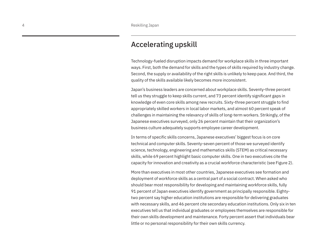# Accelerating upskill

Technology-fueled disruption impacts demand for workplace skills in three important ways. First, both the demand for skills and the types of skills required by industry change. Second, the supply or availability of the right skills is unlikely to keep pace. And third, the quality of the skills available likely becomes more inconsistent.

Japan's business leaders are concerned about workplace skills. Seventy-three percent tell us they struggle to keep skills current, and 73 percent identify significant gaps in knowledge of even core skills among new recruits. Sixty-three percent struggle to find appropriately skilled workers in local labor markets, and almost 60 percent speak of challenges in maintaining the relevancy of skills of long-term workers. Strikingly, of the Japanese executives surveyed, only 26 percent maintain that their organization's business culture adequately supports employee career development.

In terms of specific skills concerns, Japanese executives' biggest focus is on core technical and computer skills. Seventy-seven percent of those we surveyed identify science, technology, engineering and mathematics skills (STEM) as critical necessary skills, while 69 percent highlight basic computer skills. One in two executives cite the capacity for innovation and creativity as a crucial workforce characteristic (see Figure 2).

More than executives in most other countries, Japanese executives see formation and deployment of workforce skills as a central part of a social contract. When asked who should bear most responsibility for developing and maintaining workforce skills, fully 91 percent of Japan executives identify government as principally responsible. Eightytwo percent say higher education institutions are responsible for delivering graduates with necessary skills, and 46 percent cite secondary education institutions. Only six in ten executives tell us that individual graduates or employees themselves are responsible for their own skills development and maintenance. Forty percent assert that individuals bear little or no personal responsibility for their own skills currency.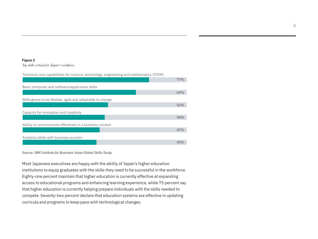### **Figure 2**

#### *Top skills critical for Japan's workforce* Top skills critical for Japan's workforce

| Technical core capabilities for science, technology, engineering and mathematics (STEM) |     |
|-----------------------------------------------------------------------------------------|-----|
|                                                                                         | 77% |
| Basic computer and software/application skills                                          |     |
|                                                                                         | 69% |
| Willingness to be flexible, agile and adaptable to change                               |     |
|                                                                                         | 52% |
| Capacity for innovation and creativity                                                  |     |
|                                                                                         | 50% |
| Ability to communicate effectively in a business context                                |     |
|                                                                                         | 47% |
| Analytics skills with business acumen                                                   |     |
|                                                                                         | 45% |

*Source: IBM Institute for Business Value Global Skills Study.*

Most Japanese executives are happy with the ability of Japan's higher education institutions to equip graduates with the skills they need to be successful in the workforce. Eighty-one percent maintain that higher education is currently effective at expanding access to educational programs and enhancing learning experience, while 75 percent say that higher education is currently helping prepare individuals with the skills needed to compete. Seventy-two percent declare that education systems are effective in updating curricula and programs to keep pace with technological changes.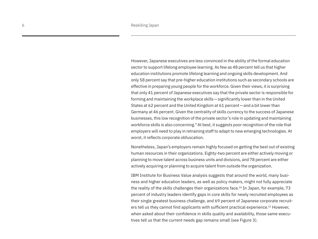However, Japanese executives are less convinced in the ability of the formal education sector to support lifelong employee learning. As few as 48 percent tell us that higher education institutions promote lifelong learning and ongoing skills development. And only 58 percent say that pre-higher education institutions such as secondary schools are effective in preparing young people for the workforce. Given their views, it is surprising that only 41 percent of Japanese executives say that the private sector is responsible for forming and maintaining the workplace skills—significantly lower than in the United States at 62 percent and the United Kingdom at 61 percent—and a bit lower than Germany at 46 percent. Given the centrality of skills currency to the success of Japanese businesses, this low recognition of the private sector's role in updating and maintaining workforce skills is also concerning.9 At best, it suggests poor recognition of the role that employers will need to play in retraining staff to adapt to new emerging technologies. At worst, it reflects corporate obfuscation.

Nonetheless, Japan's employers remain highly focused on getting the best out of existing human resources in their organizations. Eighty-two percent are either actively moving or planning to move talent across business units and divisions, and 78 percent are either actively acquiring or planning to acquire talent from outside the organization.

IBM Institute for Business Value analysis suggests that around the world, many business and higher education leaders, as well as policy makers, might not fully appreciate the reality of the skills challenges their organizations face.10 In Japan, for example, 73 percent of industry leaders identify gaps in core skills for newly recruited employees as their single greatest business challenge, and 69 percent of Japanese corporate recruiters tell us they cannot find applicants with sufficient practical experience.11 However, when asked about their confidence in skills quality and availability, those same executives tell us that the current needs gap remains small (see Figure 3).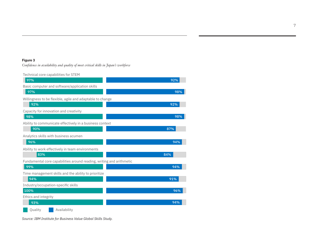### **Figure 3**

*Confidence in availability and quality of most critical skills in Japan's workforce* Confidence in availability and quality of most critical skills in Japan's workforce

Technical core capabilities for STEM

| 97%                                                                  | 92% |
|----------------------------------------------------------------------|-----|
| Basic computer and software/application skills                       |     |
| 97%                                                                  | 98% |
| Willingness to be flexible, agile and adaptable to change            |     |
| 92%                                                                  | 92% |
| Capacity for innovation and creativity                               |     |
| 98%                                                                  | 98% |
| Ability to communicate effectively in a business context             |     |
| 90%                                                                  | 87% |
| Analytics skills with business acumen                                |     |
| 96%                                                                  | 94% |
| Ability to work effectively in team environments                     |     |
| 83%                                                                  | 84% |
| Fundamental core capabilities around reading, writing and arithmetic |     |
| 99%                                                                  | 94% |
| Time management skills and the ability to prioritize                 |     |
| 94%                                                                  | 91% |
| Industry/occupation-specific skills                                  |     |
| 100%                                                                 | 96% |
| Ethics and integrity                                                 |     |
| 93%                                                                  | 94% |
| Availability<br>Quality                                              |     |

*Source: IBM Institute for Business Value Global Skills Study.*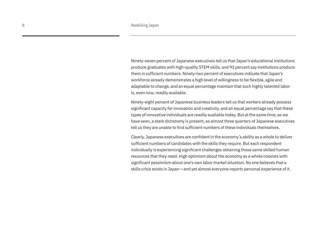Ninety-seven percent of Japanese executives tell us that Japan's educational institutions produce graduates with high-quality STEM skills, and 92 percent say institutions produce them in sufficient numbers. Ninety-two percent of executives indicate that Japan's workforce already demonstrates a high level of willingness to be flexible, agile and adaptable to change, and an equal percentage maintain that such highly talented labor is, even now, readily available.

Ninety-eight percent of Japanese business leaders tell us that workers already possess significant capacity for innovation and creativity, and an equal percentage say that these types of innovative individuals are readily available today. But at the same time, as we have seen, a stark dichotomy is present, as almost three quarters of Japanese executives tell us they are unable to find sufficient numbers of these individuals themselves.

Clearly, Japanese executives are confident in the economy's ability as a whole to deliver sufficient numbers of candidates with the skills they require. But each respondent individually is experiencing significant challenges obtaining those same skilled human resources that they need. High optimism about the economy as a whole coexists with significant pessimism about one's own labor market situation. No one believes that a skills crisis exists in Japan—and yet almost everyone reports personal experience of it.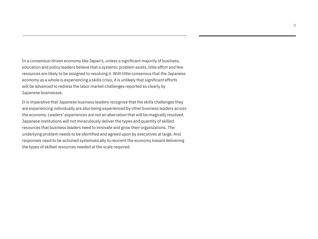In a consensus-driven economy like Japan's, unless a significant majority of business, education and policy leaders believe that a systemic problem exists, little effort and few resources are likely to be assigned to resolving it. With little consensus that the Japanese economy as a whole is experiencing a skills crisis, it is unlikely that significant efforts will be advanced to redress the labor market challenges reported so clearly by Japanese businesses.

It is imperative that Japanese business leaders recognize that the skills challenges they are experiencing individually are also being experienced by other business leaders across the economy. Leaders' experiences are not an aberration that will be magically resolved. Japanese institutions will not miraculously deliver the types and quantity of skilled resources that business leaders need to innovate and grow their organizations. The underlying problem needs to be identified and agreed upon by executives at large. And responses need to be actioned systematically to reorient the economy toward delivering the types of skilled resources needed at the scale required.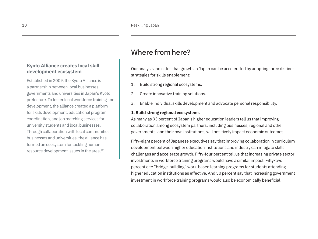## **Kyoto Alliance creates local skill development ecosystem**

Established in 2009, the Kyoto Alliance is a partnership between local businesses, governments and universities in Japan's Kyoto prefecture. To foster local workforce training and development, the alliance created a platform for skills development, educational program coordination, and job matching services for university students and local businesses. Through collaboration with local communities, businesses and universities, the alliance has formed an ecosystem for tackling human resource development issues in the area.12

# Where from here?

Our analysis indicates that growth in Japan can be accelerated by adopting three distinct strategies for skills enablement:

- 1. Build strong regional ecosystems.
- 2. Create innovative training solutions.
- 3. Enable individual skills development and advocate personal responsibility.

### **1. Build strong regional ecosystems**

As many as 93 percent of Japan's higher education leaders tell us that improving collaboration among ecosystem partners, including businesses, regional and other governments, and their own institutions, will positively impact economic outcomes.

Fifty-eight percent of Japanese executives say that improving collaboration in curriculum development between higher education institutions and industry can mitigate skills challenges and accelerate growth. Fifty-four percent tell us that increasing private sector investments in workforce training programs would have a similar impact. Fifty-two percent cite "bridge-building" work-based learning programs for students attending higher education institutions as effective. And 50 percent say that increasing government investment in workforce training programs would also be economically beneficial.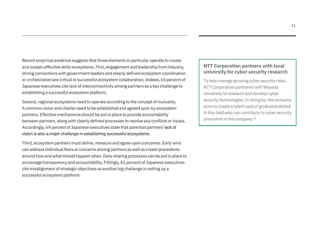Recent empirical evidence suggests that three elements in particular operate to create and sustain effective skills ecosystems. First, engagement and leadership from industry, strong connections with government leaders and clearly defined ecosystem coordination or orchestration are critical to successful ecosystem collaboration. Indeed, 65 percent of Japanese executives cite lack of interconnectivity among partners as a key challenge to establishing a successful ecosystem platform.

Second, regional ecosystems need to operate according to the concept of mutuality. A common vision and charter need to be established and agreed upon by ecosystem partners. Effective mechanisms should be put in place to provide accountability between partners, along with clearly defined processes to resolve any conflicts or issues. Accordingly, 69 percent of Japanese executives state that potential partners' lack of vision is also a major challenge in establishing successful ecosystems.

Third, ecosystem partners must define, measure and agree upon outcomes. Early wins can address individual fears or concerns among partners as well as create precedents around how and what should happen when. Data-sharing processes can be put in place to encourage transparency and accountability. Fittingly, 61 percent of Japanese executives cite misalignment of strategic objectives as another big challenge in setting up a successful ecosystem platform.

## **NTT Corporation partners with local university for cyber security research**

To help manage growing cyber security risks, NTT Corporation partnered with Waseda University to research and develop cyber security technologies. In doing so, the company aims to create a talent pool of graduates skilled in this field who can contribute to cyber security promotion in the company.13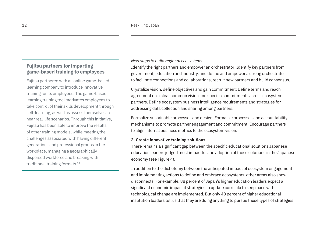# **Fujitsu partners for imparting game-based training to employees**

Fujitsu partnered with an online game-based learning company to introduce innovative training for its employees. The game-based learning training tool motivates employees to take control of their skills development through self-learning, as well as assess themselves in near real-life scenarios. Through this initiative, Fujitsu has been able to improve the results of other training models, while meeting the challenges associated with having different generations and professional groups in the workplace, managing a geographically dispersed workforce and breaking with traditional training formats.<sup>14</sup>

*Next steps to build regional ecosystems*

Identify the right partners and empower an orchestrator: Identify key partners from government, education and industry, and define and empower a strong orchestrator to facilitate connections and collaborations, recruit new partners and build consensus.

Crystalize vision, define objectives and gain commitment: Define terms and reach agreement on a clear common vision and specific commitments across ecosystem partners. Define ecosystem business intelligence requirements and strategies for addressing data collection and sharing among partners.

Formalize sustainable processes and design: Formalize processes and accountability mechanisms to promote partner engagement and commitment. Encourage partners to align internal business metrics to the ecosystem vision.

### **2. Create innovative training solutions**

There remains a significant gap between the specific educational solutions Japanese education leaders judged most impactful and adoption of those solutions in the Japanese economy (see Figure 4).

In addition to the dichotomy between the anticipated impact of ecosystem engagement and implementing actions to define and embrace ecosystems, other areas also show disconnects. For example, 88 percent of Japan's higher education leaders expect a significant economic impact if strategies to update curricula to keep pace with technological change are implemented. But only 48 percent of higher educational institution leaders tell us that they are doing anything to pursue these types of strategies.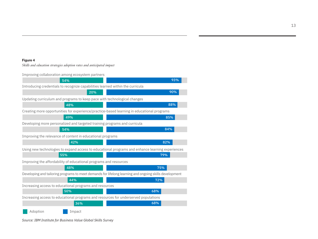#### **Figure 4**

*Skills and education strategies adoption rates and anticipated impact* Skills and education strategies adoption rates and anticipated impact

Improving collaboration among ecosystem partners



*Source: IBM Institute for Business Value Global Skills Survey*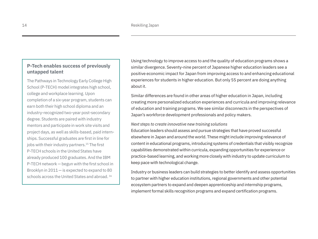# **P-Tech enables success of previously untapped talent**

The Pathways in Technology Early College High School (P-TECH) model integrates high school, college and workplace learning. Upon completion of a six-year program, students can earn both their high school diploma and an industry-recognized two-year post-secondary degree. Students are paired with industry mentors and participate in work site visits and project days, as well as skills-based, paid internships. Successful graduates are first in line for jobs with their industry partners.<sup>15</sup> The first P-TECH schools in the United States have already produced 100 graduates. And the IBM P-TECH network — begun with the first school in Brooklyn in 2011— is expected to expand to 80 schools across the United States and abroad. 16

Using technology to improve access to and the quality of education programs shows a similar divergence. Seventy-nine percent of Japanese higher education leaders see a positive economic impact for Japan from improving access to and enhancing educational experiences for students in higher education. But only 55 percent are doing anything about it.

Similar differences are found in other areas of higher education in Japan, including creating more personalized education experiences and curricula and improving relevance of education and training programs. We see similar disconnects in the perspectives of Japan's workforce development professionals and policy makers.

### *Next steps to create innovative new training solutions*

Education leaders should assess and pursue strategies that have proved successful elsewhere in Japan and around the world. These might include improving relevance of content in educational programs, introducing systems of credentials that visibly recognize capabilities demonstrated within curricula, expanding opportunities for experience or practice-based learning, and working more closely with industry to update curriculum to keep pace with technological change.

Industry or business leaders can build strategies to better identify and assess opportunities to partner with higher education institutions, regional governments and other potential ecosystem partners to expand and deepen apprenticeship and internship programs, implement formal skills recognition programs and expand certification programs.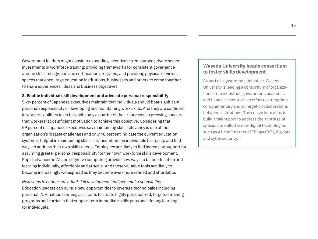Government leaders might consider expanding incentives to encourage private sector investments in workforce training; providing frameworks for consistent governance around skills recognition and certification programs; and providing physical or virtual spaces that encourage education institutions, businesses and others to come together to share experiences, ideas and business objectives.

### **3. Enable individual skill development and advocate personal responsibility**

Sixty percent of Japanese executives maintain that individuals should bear significant personal responsibility in developing and maintaining work skills. And they are confident in workers' abilities to do this, with only a quarter of those surveyed expressing concern that workers lack sufficient motivation to achieve this objective. Considering that 59 percent of Japanese executives say maintaining skills relevancy is one of their organization's biggest challenges and only 48 percent indicate the current education system is helpful in maintaining skills, it is incumbent on individuals to step up and find ways to address their own skills needs. Employees are likely to find increasing support for assuming greater personal responsibility for their own workforce skills development. Rapid advances in AI and cognitive computing provide new ways to tailor education and learning individually, affordably and at scale. And these valuable tools are likely to become increasingly widespread as they become ever-more refined and affordable.

*Next steps to enable individual skill development and personal responsibility* Education leaders can pursue new opportunities to leverage technologies including personal, AI-enabled learning assistants to create highly personalized, targeted training programs and curricula that support both immediate skills gaps and lifelong learning for individuals.

# **Waseda University heads consortium to foster skills development**

As part of a government initiative, Waseda University is leading a consortium of organizations from industrial, government, academic and financial sectors in an effort to strengthen complementary and synergetic collaborations between institutions. The consortium aims to build a talent pool to address the shortage of specialists skilled in new digital technologies such as AI, the Internet of Things (IoT), big data and cyber security.<sup>17</sup>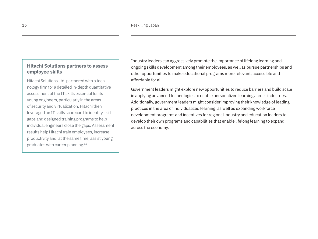# **Hitachi Solutions partners to assess employee skills**

Hitachi Solutions Ltd. partnered with a technology firm for a detailed in-depth quantitative assessment of the IT skills essential for its young engineers, particularly in the areas of security and virtualization. Hitachi then leveraged an IT skills scorecard to identify skill gaps and designed training programs to help individual engineers close the gaps. Assessment results help Hitachi train employees, increase productivity and, at the same time, assist young graduates with career planning.18

Industry leaders can aggressively promote the importance of lifelong learning and ongoing skills development among their employees, as well as pursue partnerships and other opportunities to make educational programs more relevant, accessible and affordable for all.

Government leaders might explore new opportunities to reduce barriers and build scale in applying advanced technologies to enable personalized learning across industries. Additionally, government leaders might consider improving their knowledge of leading practices in the area of individualized learning, as well as expanding workforce development programs and incentives for regional industry and education leaders to develop their own programs and capabilities that enable lifelong learning to expand across the economy.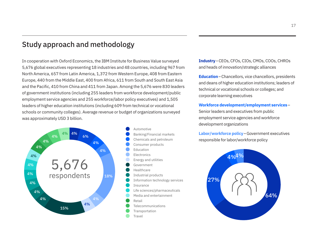# Study approach and methodology

In cooperation with Oxford Economics, the IBM Institute for Business Value surveyed 5,676 global executives representing 18 industries and 48 countries, including 967 from North America, 657 from Latin America, 1,372 from Western Europe, 408 from Eastern Europe, 440 from the Middle East, 400 from Africa, 611 from South and South East Asia and the Pacific, 410 from China and 411 from Japan. Among the 5,676 were 830 leaders of government institutions (including 255 leaders from workforce development/public employment service agencies and 255 workforce/labor policy executives) and 1,505 leaders of higher education institutions (including 609 from technical or vocational schools or community colleges). Average revenue or budget of organizations surveyed was approximately USD 3 billion.



 $\frac{1}{4}$ CFOs, CIOs, CMOs, COOs, CHF<br>vation/strategic alliances **Industry**–CEOs, CFOs, CIOs, CMOs, COOs, CHROs and heads of innovation/strategic alliances

4%

4% technical or vocational schools or colleges; and **Education**–Chancellors, vice chancellors, presidents<br>and deans of higher education institutions: leaders of and deans of higher education institutions; leaders of corporate learning executives

 $\frac{1}{2}$ development organizations 4% Senior leaders and executives from public 4% **Workforce development/employment services**– employment service agencies and workforce

**Labor/workforce policy**–Government executives responsible for labor/workforce policy

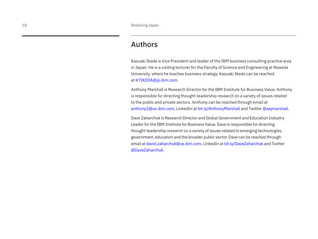# Authors

Kazuaki Ikeda is Vice President and leader of the IBM business consulting practice area in Japan. He is a visiting lecturer for the Faculty of Science and Engineering at Waseda University, where he teaches business strategy. Kazuaki Ikeda can be reached at [K7IKEDA@jp.ibm.com](mailto:K7IKEDA%40jp.ibm.com?subject=).

Anthony Marshall is Research Director for the IBM Institute for Business Value. Anthony is responsible for directing thought-leadership research on a variety of issues related to the public and private sectors. Anthony can be reached through email at [anthony2@us.ibm.com,](mailto:anthony2%40us.ibm.com?subject=) LinkedIn at [bit.ly/AnthonyMarshall](http://bit.ly/AnthonyMarshall) and Twitter [@aejmarshall](https://twitter.com/aejmarshall).

Dave Zaharchuk is Research Director and Global Government and Education Industry Leader for the IBM Institute for Business Value. Dave is responsible for directing thought-leadership research on a variety of issues related to emerging technologies, government, education and the broader public sector. Dave can be reached through email at [david.zaharchuk@us.ibm.com](mailto:david.zaharchuk%40us.ibm.com?subject=), LinkedIn at [bit.ly/DaveZaharchuk](http://bit.ly/DaveZaharchuk) and Twitter [@DaveZaharchuk.](https://twitter.com/DaveZaharchuk)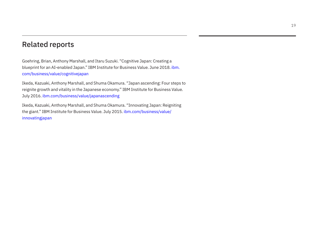# Related reports

Goehring, Brian, Anthony Marshall, and Itaru Suzuki. "Cognitive Japan: Creating a blueprint for an AI-enabled Japan." IBM Institute for Business Value. June 2018. [ibm.](http://www.ibm.com/business/value/cognitivejapan) [com/business/value/cognitivejapan](http://www.ibm.com/business/value/cognitivejapan)

Ikeda, Kazuaki, Anthony Marshall, and Shuma Okamura. "Japan ascending: Four steps to reignite growth and vitality in the Japanese economy." IBM Institute for Business Value. July 2016. [ibm.com/business/value/japanascending](http://www.ibm.com/business/value/japanascending)

Ikeda, Kazuaki, Anthony Marshall, and Shuma Okamura. "Innovating Japan: Reigniting the giant." IBM Institute for Business Value. July 2015. [ibm.com/business/value/](http://www.ibm.com/business/value/innovatingjapan) [innovatingjapan](http://www.ibm.com/business/value/innovatingjapan)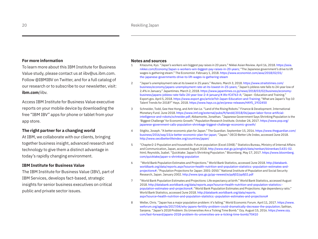#### **For more information**

To learn more about this IBM Institute for Business Value study, please contact us at [iibv@us.ibm.com](mailto:iibv@us.ibm.com). Follow [@IBMIBV](https://twitter.com/IBMIBV) on Twitter, and for a full catalog of our research or to subscribe to our newsletter, visit: **[ibm.com](http://www.ibm.com/iibv)**/iibv.

Access IBM Institute for Business Value executive reports on your mobile device by downloading the free "IBM IBV" apps for phone or tablet from your app store.

### **The right partner for a changing world**

At IBM, we collaborate with our clients, bringing together business insight, advanced research and technology to give them a distinct advantage in today's rapidly changing environment.

#### **IBM Institute for Business Value**

The IBM Institute for Business Value (IBV), part of IBM Services, develops fact-based, strategic insights for senior business executives on critical public and private sector issues.

#### **Notes and sources**

- 1 Kitazume, Kyo. "Japan's workers win biggest pay raises in 20 years." Nikkei Asian Review. April 16, 2018. [https://asia.](https://asia.nikkei.com/Economy/Japan-s-workers-win-biggest-pay-raises-in-20-years) [nikkei.com/Economy/Japan-s-workers-win-biggest-pay-raises-in-20-years;](https://asia.nikkei.com/Economy/Japan-s-workers-win-biggest-pay-raises-in-20-years) "The Japanese government's drive to lift wages is gathering steam." The Economist. February 1, 2018. [https://www.economist.com/asia/2018/02/01/](https://www.economist.com/asia/2018/02/01/the-japanese-governments-drive-to-lift-wages-is-gathering-steam) [the-japanese-governments-drive-to-lift-wages-is-gathering-steam](https://www.economist.com/asia/2018/02/01/the-japanese-governments-drive-to-lift-wages-is-gathering-steam)
- 2 "Japan's unemployment rate at its lowest in 25 years." Reuters. March 3, 2018. [https://www.straitstimes.com/](https://www.straitstimes.com/business/economy/japans-unemployment-rate-at-its-lowest-in-25-years) [business/economy/japans-unemployment-rate-at-its-lowest-in-25-years](https://www.straitstimes.com/business/economy/japans-unemployment-rate-at-its-lowest-in-25-years); "Japan's jobless rate falls to 24-year low of 2.4% in January." Japantimes. March 2, 2018. [https://www.japantimes.co.jp/news/2018/03/02/business/economy](https://www.japantimes.co.jp/news/2018/03/02/business/economy-business/japans-jobless-rate-falls-24-year-low-2-4-january/#.Wx-fC4763-A)[business/japans-jobless-rate-falls-24-year-low-2-4-january/#.Wx-fC4763-A;](https://www.japantimes.co.jp/news/2018/03/02/business/economy-business/japans-jobless-rate-falls-24-year-low-2-4-january/#.Wx-fC4763-A) "Japan - Education and Training." Export.gov. April 5, 2018. <https://www.export.gov/article?id=Japan-Education-and-Training>; "What are Japan's Top 10 Talent Trends for 2018?" Hays. 2018. [https://www.hays.co.jp/en/press-releases/HAYS\\_1932450](https://www.hays.co.jp/en/press-releases/HAYS_1932450)
- 3 Schneider, Todd, Gee Hee Hong, and Anh Van Le. "Land of the Rising Robots." Finance & Development. International Monetary Fund. June 2018. [https://www.imf.org/external/pubs/ft/fandd/2018/06/japan-labor-force-artificial](https://www.imf.org/external/pubs/ft/fandd/2018/06/japan-labor-force-artificial-intelligence-and-robots/schneider.pdf)[intelligence-and-robots/schneider.pdf](https://www.imf.org/external/pubs/ft/fandd/2018/06/japan-labor-force-artificial-intelligence-and-robots/schneider.pdf); Abbamonte, Jonathan. "Japanese Government Says Shrinking Population is the 'Biggest Challenge' for Economic Growth." Population Research Institute. October 24, 2017. [https://www.pop.org/](https://www.pop.org/japanese-government-calls-population-shrinkage-biggest-challenge-economic-growth/) [japanese-government-calls-population-shrinkage-biggest-challenge-economic-growth/](https://www.pop.org/japanese-government-calls-population-shrinkage-biggest-challenge-economic-growth/)
- 4 Stiglitz, Joseph. "A better economic plan for Japan." The Guardian. September 15, 2016. [https://www.theguardian.com/](https://www.theguardian.com/business/2016/sep/15/a-better-economic-plan-for-japan) [business/2016/sep/15/a-better-economic-plan-for-japan;](https://www.theguardian.com/business/2016/sep/15/a-better-economic-plan-for-japan) "Japan." OECD Better Life Index, accessed June 2018. <http://www.oecdbetterlifeindex.org/countries/japan/>
- 5 "Chapter2-2 Population and households: Future population (Excel:33KB)." Statistics Bureau, Ministry of Internal Affairs and Communication, Japan, accessed August 2018.<http://www.stat.go.jp/english/data/nenkan/66nenkan/1431-02>. html; Reynolds, Isabel. "Quicktake: Japan's Shrinking Population." Bloomberg. May 17, 2017. [https://www.bloomberg.](https://www.bloomberg.com/quicktake/japan-s-shrinking-population) [com/quicktake/japan-s-shrinking-population](https://www.bloomberg.com/quicktake/japan-s-shrinking-population)
- 6 "World Bank Population Estimates and Projections." World Bank Statistics, accessed June 2018. [http://databank.](http://databank.worldbank.org/data/reports.aspx?source=health-nutrition-and-population-statistics:-population-estimates-and-projections#) [worldbank.org/data/reports.aspx?source=health-nutrition-and-population-statistics:-population-estimates-and](http://databank.worldbank.org/data/reports.aspx?source=health-nutrition-and-population-statistics:-population-estimates-and-projections#)[projections#](http://databank.worldbank.org/data/reports.aspx?source=health-nutrition-and-population-statistics:-population-estimates-and-projections#); "Population Projections for Japan: 2001-2050." National Institute of Population and Social Security Research, Japan. January 2002.<http://www.ipss.go.jp/pp-newest/e/ppfj02/ppfj02.pdf>
- 7 "World Bank Population Estimates and Projections: Life expectancy at birth." World Bank Statistics, accessed August 2018. [http://databank.worldbank.org/data/reports.aspx?source=health-nutrition-and-population-statistics:](http://databank.worldbank.org/data/reports.aspx?source=health-nutrition-and-population-statistics:-population-estimates-and-projections#) [population-estimates-and-projections#](http://databank.worldbank.org/data/reports.aspx?source=health-nutrition-and-population-statistics:-population-estimates-and-projections#); "World Bank Population Estimates and Projections: Age dependency ratio." World Bank Statistics, accessed June 2018. [http://databank.worldbank.org/data/reports.](http://databank.worldbank.org/data/reports.aspx?source=health-nutrition-and-population-statistics:-population-estimates-and-projections#) [aspx?source=health-nutrition-and-population-statistics:-population-estimates-and-projections#](http://databank.worldbank.org/data/reports.aspx?source=health-nutrition-and-population-statistics:-population-estimates-and-projections#)
- 8 Weller, Chris. "Japan has a major population problem: it's falling." World Economic Forum. April 11, 2017. [https://www.](https://www.weforum.org/agenda/2017/04/why-japans-fertility-problem-could-dramatically-decrease-the-population) [weforum.org/agenda/2017/04/why-japans-fertility-problem-could-dramatically-decrease-the-population](https://www.weforum.org/agenda/2017/04/why-japans-fertility-problem-could-dramatically-decrease-the-population); Sathian, Sanjena. "Japan's 2018 Problem: Its Universities Are a Ticking Time Bomb." Ozy. August 15, 2016. [https://www.ozy.](https://www.ozy.com/fast-forward/japans-2018-problem-its-universities-are-a-ticking-time-bomb/70410) [com/fast-forward/japans-2018-problem-its-universities-are-a-ticking-time-bomb/70410](https://www.ozy.com/fast-forward/japans-2018-problem-its-universities-are-a-ticking-time-bomb/70410)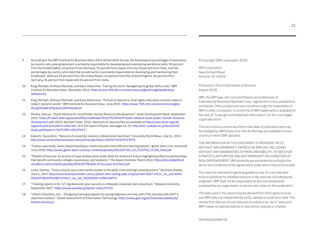- 9 According to the IBM Institute for Business Value 2016 Global Skills Survey, the following are percentages of executives by country who state government is primarily responsible for developing and maintaining workforce skills: 90 percent from the United States, 65 percent from Germany, 91 percent from Japan and only 54 percent from India. And the percentages by country who state that private sector is primarily responsible for developing and maintaining their employees' skills are 62 percent from the United States, 61 percent from the United Kingdom, 46 percent from Germany, 41 percent from Japan and 26 percent from India.
- 10 King, Michael, Anthony Marshall, and Dave Zaharchuk. "Facing the storm: Navigating the global skills crisis." IBM Institute for Business Value. December 2016. [https://www-935.ibm.com/services/us/gbs/thoughtleadership/](https://www-935.ibm.com/services/us/gbs/thoughtleadership/skillsstorm/) [skillsstorm/](https://www-935.ibm.com/services/us/gbs/thoughtleadership/skillsstorm/)
- 11 King, Michael, Anthony Marshall, and Dave Zaharchuk. "Pursuit of relevance: How higher education remains viable in today's dynamic world." IBM Institute for Business Value. June 2015. [https://www-935.ibm.com/services/us/gbs/](https://www-935.ibm.com/services/us/gbs/thoughtleadership/pursuitofrelevance/) [thoughtleadership/pursuitofrelevance/](https://www-935.ibm.com/services/us/gbs/thoughtleadership/pursuitofrelevance/)
- 12 Murata, Kazuyo. "Kyoto Alliance for Local Public Human Resource Development." Asian Development Bank. September 2016. [https://k-learn.adb.org/system/files/materials/2016/09/201609-kyoto-alliance-local-public-human-resource](https://k-learn.adb.org/system/files/materials/2016/09/201609-kyoto-alliance-local-public-human-resource-development.pdf)[development.pdf;](https://k-learn.adb.org/system/files/materials/2016/09/201609-kyoto-alliance-local-public-human-resource-development.pdf) OECD. *Resilient Cities*. 2016. Abstracts of case studies are available at [http://www.oecd.org/cfe/](http://www.oecd.org/cfe/regional-policy/resilient-cities.htm) [regional-policy/resilient-cities.htm](http://www.oecd.org/cfe/regional-policy/resilient-cities.htm). (For full report of Kyoto, see pages 16-34: [http://lorc.ryukoku.ac.jp/Kyoto%20](http://lorc.ryukoku.ac.jp/Kyoto%20Study.pdf#search=%27LORC+OECD%27) [Study.pdf#search=%27LORC+OECD%27.](http://lorc.ryukoku.ac.jp/Kyoto%20Study.pdf#search=%27LORC+OECD%27))
- 13 Kakuchi, Suvendrini. "New era of university-industry collaboration launched." University World News. July 11, 2015. <http://www.universityworldnews.com/article.php?story=20150710143733375>
- 14 "Fujitsu case study: Game-based learning to create new and more efficient learning spaces." game-learn.com, accessed June 2018. [https://www.game-learn.com/wp-content/uploads/2013/07/01\\_CS\\_FUJITSU\\_V2-EN\\_final.pdf](https://www.game-learn.com/wp-content/uploads/2013/07/01_CS_FUJITSU_V2-EN_final.pdf)
- 15 "Models of Success: An archive of case studies done under Skills for America's Future highlighting effective partnerships that benefit community colleges, businesses, and students." The Aspen Institute. March 2016. [https://dorutodpt4twd.](https://dorutodpt4twd.cloudfront.net/content/uploads/2016/07/Models-of-Success-Archive2.pdf) [cloudfront.net/content/uploads/2016/07/Models-of-Success-Archive2.pdf](https://dorutodpt4twd.cloudfront.net/content/uploads/2016/07/Models-of-Success-Archive2.pdf)
- 16 Litow, Stanley. "These schools are a nationwide answer to the skills crisis and high unemployment." Business Insider. June 1, 2017.[http://www.businessinsider.com/sc/ptech-ibm-coding-jobs-employment-2017-6?cm\\_mc\\_uid=4456](http://www.businessinsider.com/sc/ptech-ibm-coding-jobs-employment-2017-6?cm_mc_uid=4456 0552579814906280747&cm_mc_sid_50200000=1496254073) [0552579814906280747&cm\\_mc\\_sid\\_50200000=1496254073](http://www.businessinsider.com/sc/ptech-ibm-coding-jobs-employment-2017-6?cm_mc_uid=4456 0552579814906280747&cm_mc_sid_50200000=1496254073)
- 17 "Training experts in AI, IoT, big data and cyber security in a Waseda University-led consortium." Waseda University. September 2017.<https://www.waseda.jp/top/en-news/53710>
- 18 "Hitachi Solutions, Ltd. Designing training programs for young engineers not only with ITSS, but also with GAIT's objective markers." Global Assessment of Information Technology. [https://www.gait.org/en/business/casestudy/](https://www.gait.org/en/business/casestudy/hitachi-solutions/) [hitachi-solutions/](https://www.gait.org/en/business/casestudy/hitachi-solutions/)

© Copyright IBM Corporation 2018

IBM Corporation New Orchard Road Armonk, NY 10504

Produced in the United States of America August 2018

IBM, the IBM logo,<ibm.com>and Watson are trademarks of International Business Machines Corp., registered in many jurisdictions worldwide. Other product and service names might be trademarks of IBM or other companies. A current list of IBM trademarks is available on the web at "Copyright and trademark information" at: [ibm.com/legal/](http://www.ibm.com/legal/copytrade.shtml) [copytrade.shtml.](http://www.ibm.com/legal/copytrade.shtml)

This document is current as of the initial date of publication and may be changed by IBM at any time. Not all offerings are available in every country in which IBM operates.

THE INFORMATION IN THIS DOCUMENT IS PROVIDED "AS IS" WITHOUT ANY WARRANTY, EXPRESS OR IMPLIED, INCLUDING WITHOUT ANY WARRANTIES OF MERCHANTABILITY, FITNESS FOR A PARTICULAR PURPOSE AND ANY WARRANTY OR CONDITION OF NON-INFRINGEMENT. IBM products are warranted according to the terms and conditions of the agreements under which they are provided.

This report is intended for general guidance only. It is not intended to be a substitute for detailed research or the exercise of professional judgment. IBM shall not be responsible for any loss whatsoever sustained by any organization or person who relies on this publication.

The data used in this report may be derived from third-party sources and IBM does not independently verify, validate or audit such data. The results from the use of such data are provided on an "as is" basis and IBM makes no representations or warranties, express or implied.